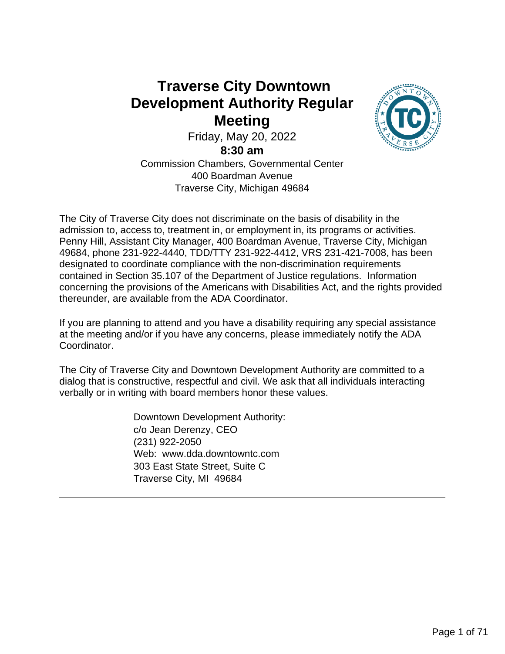## **Traverse City Downtown Development Authority Regular Meeting**

Friday, May 20, 2022

**8:30 am**

Commission Chambers, Governmental Center 400 Boardman Avenue Traverse City, Michigan 49684

The City of Traverse City does not discriminate on the basis of disability in the admission to, access to, treatment in, or employment in, its programs or activities. Penny Hill, Assistant City Manager, 400 Boardman Avenue, Traverse City, Michigan 49684, phone 231-922-4440, TDD/TTY 231-922-4412, VRS 231-421-7008, has been designated to coordinate compliance with the non-discrimination requirements contained in Section 35.107 of the Department of Justice regulations. Information concerning the provisions of the Americans with Disabilities Act, and the rights provided thereunder, are available from the ADA Coordinator.

If you are planning to attend and you have a disability requiring any special assistance at the meeting and/or if you have any concerns, please immediately notify the ADA Coordinator.

The City of Traverse City and Downtown Development Authority are committed to a dialog that is constructive, respectful and civil. We ask that all individuals interacting verbally or in writing with board members honor these values.

> Downtown Development Authority: c/o Jean Derenzy, CEO (231) 922-2050 Web: www.dda.downtowntc.com 303 East State Street, Suite C Traverse City, MI 49684

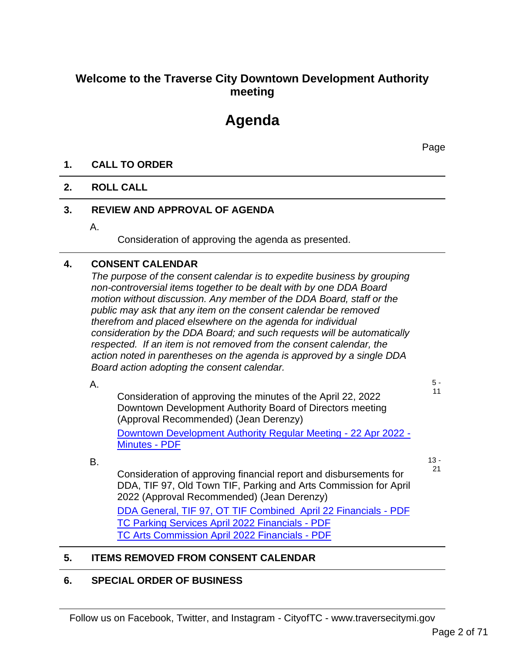### **Welcome to the Traverse City Downtown Development Authority meeting**

# **Agenda**

Page

#### **1. CALL TO ORDER**

#### **2. ROLL CALL**

#### **3. REVIEW AND APPROVAL OF AGENDA**

A.

Consideration of approving the agenda as presented.

#### **4. CONSENT CALENDAR**

*The purpose of the consent calendar is to expedite business by grouping non-controversial items together to be dealt with by one DDA Board motion without discussion. Any member of the DDA Board, staff or the public may ask that any item on the consent calendar be removed therefrom and placed elsewhere on the agenda for individual consideration by the DDA Board; and such requests will be automatically respected. If an item is not removed from the consent calendar, the action noted in parentheses on the agenda is approved by a single DDA Board action adopting the consent calendar.*

A.

5 - 11

Consideration of approving the minutes of the April 22, 2022 Downtown Development Authority Board of Directors meeting (Approval Recommended) (Jean Derenzy) Downtown Development Authority Regular Meeting - 22 Apr 2022 - Minutes - PDF

B.

13 - 21

Consideration of approving financial report and disbursements for DDA, TIF 97, Old Town TIF, Parking and Arts Commission for April 2022 (Approval Recommended) (Jean Derenzy) DDA General, TIF 97, OT TIF Combined April 22 Financials - PDF TC Parking Services April 2022 Financials - PDF TC Arts Commission April 2022 Financials - PDF

#### **5. ITEMS REMOVED FROM CONSENT CALENDAR**

#### **6. SPECIAL ORDER OF BUSINESS**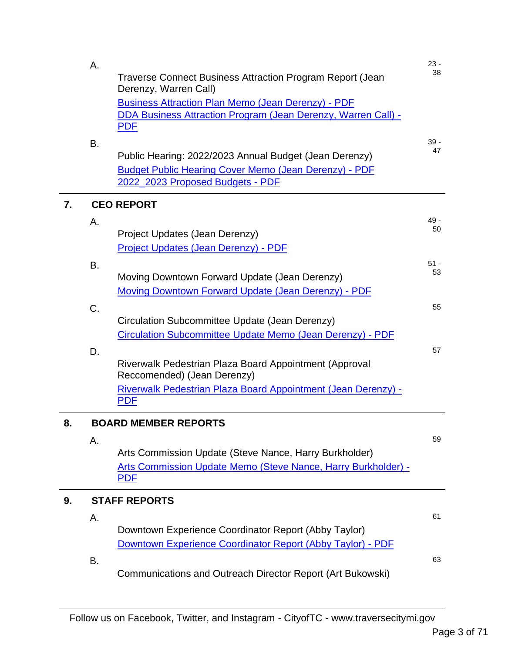|    | Α. |                                                                                           | $23 -$ |
|----|----|-------------------------------------------------------------------------------------------|--------|
|    |    | <b>Traverse Connect Business Attraction Program Report (Jean</b><br>Derenzy, Warren Call) | 38     |
|    |    | <b>Business Attraction Plan Memo (Jean Derenzy) - PDF</b>                                 |        |
|    |    | DDA Business Attraction Program (Jean Derenzy, Warren Call) -                             |        |
|    |    | <b>PDF</b>                                                                                |        |
|    | B. |                                                                                           | $39 -$ |
|    |    | Public Hearing: 2022/2023 Annual Budget (Jean Derenzy)                                    | 47     |
|    |    | <b>Budget Public Hearing Cover Memo (Jean Derenzy) - PDF</b>                              |        |
|    |    | 2022_2023 Proposed Budgets - PDF                                                          |        |
| 7. |    | <b>CEO REPORT</b>                                                                         |        |
|    | Α. |                                                                                           | 49 -   |
|    |    | Project Updates (Jean Derenzy)                                                            | 50     |
|    |    | Project Updates (Jean Derenzy) - PDF                                                      |        |
|    | Β. |                                                                                           | $51 -$ |
|    |    | Moving Downtown Forward Update (Jean Derenzy)                                             | 53     |
|    |    | Moving Downtown Forward Update (Jean Derenzy) - PDF                                       |        |
|    | C. |                                                                                           | 55     |
|    |    | Circulation Subcommittee Update (Jean Derenzy)                                            |        |
|    |    | Circulation Subcommittee Update Memo (Jean Derenzy) - PDF                                 |        |
|    |    |                                                                                           | 57     |
|    | D. | Riverwalk Pedestrian Plaza Board Appointment (Approval                                    |        |
|    |    | Reccomended) (Jean Derenzy)                                                               |        |
|    |    | Riverwalk Pedestrian Plaza Board Appointment (Jean Derenzy) -                             |        |
|    |    | <b>PDF</b>                                                                                |        |
|    |    |                                                                                           |        |
| 8. |    | <b>BOARD MEMBER REPORTS</b>                                                               |        |
|    | Α. |                                                                                           | 59     |
|    |    | Arts Commission Update (Steve Nance, Harry Burkholder)                                    |        |
|    |    | Arts Commission Update Memo (Steve Nance, Harry Burkholder) -                             |        |
|    |    | <b>PDF</b>                                                                                |        |
| 9. |    | <b>STAFF REPORTS</b>                                                                      |        |
|    | Α. |                                                                                           | 61     |
|    |    | Downtown Experience Coordinator Report (Abby Taylor)                                      |        |
|    |    | Downtown Experience Coordinator Report (Abby Taylor) - PDF                                |        |
|    | В. |                                                                                           | 63     |
|    |    | Communications and Outreach Director Report (Art Bukowski)                                |        |
|    |    |                                                                                           |        |